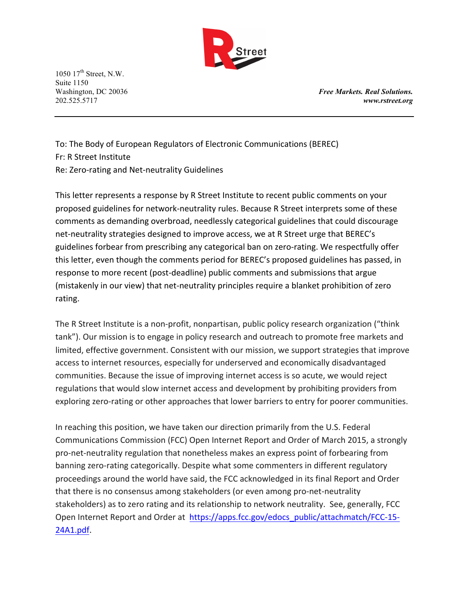

Washington, DC 20036 *Free Markets. Real Solutions.* 202.525.5717 *www.rstreet.org*

To: The Body of European Regulators of Electronic Communications (BEREC) Fr: R Street Institute Re: Zero-rating and Net-neutrality Guidelines

This letter represents a response by R Street Institute to recent public comments on your proposed guidelines for network-neutrality rules. Because R Street interprets some of these comments as demanding overbroad, needlessly categorical guidelines that could discourage net-neutrality strategies designed to improve access, we at R Street urge that BEREC's guidelines forbear from prescribing any categorical ban on zero-rating. We respectfully offer this letter, even though the comments period for BEREC's proposed guidelines has passed, in response to more recent (post-deadline) public comments and submissions that argue (mistakenly in our view) that net-neutrality principles require a blanket prohibition of zero rating.

The R Street Institute is a non-profit, nonpartisan, public policy research organization ("think tank"). Our mission is to engage in policy research and outreach to promote free markets and limited, effective government. Consistent with our mission, we support strategies that improve access to internet resources, especially for underserved and economically disadvantaged communities. Because the issue of improving internet access is so acute, we would reject regulations that would slow internet access and development by prohibiting providers from exploring zero-rating or other approaches that lower barriers to entry for poorer communities.

In reaching this position, we have taken our direction primarily from the U.S. Federal Communications Commission (FCC) Open Internet Report and Order of March 2015, a strongly pro-net-neutrality regulation that nonetheless makes an express point of forbearing from banning zero-rating categorically. Despite what some commenters in different regulatory proceedings around the world have said, the FCC acknowledged in its final Report and Order that there is no consensus among stakeholders (or even among pro-net-neutrality stakeholders) as to zero rating and its relationship to network neutrality. See, generally, FCC Open Internet Report and Order at https://apps.fcc.gov/edocs\_public/attachmatch/FCC-15-24A1.pdf.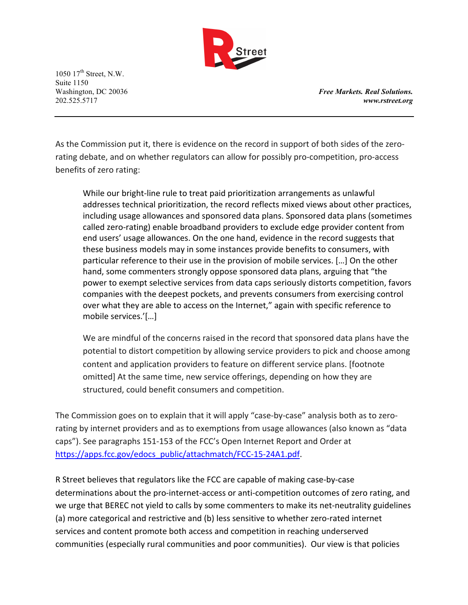

Washington, DC 20036 *Free Markets. Real Solutions.* 202.525.5717 *www.rstreet.org*

As the Commission put it, there is evidence on the record in support of both sides of the zerorating debate, and on whether regulators can allow for possibly pro-competition, pro-access benefits of zero rating:

While our bright-line rule to treat paid prioritization arrangements as unlawful addresses technical prioritization, the record reflects mixed views about other practices, including usage allowances and sponsored data plans. Sponsored data plans (sometimes called zero-rating) enable broadband providers to exclude edge provider content from end users' usage allowances. On the one hand, evidence in the record suggests that these business models may in some instances provide benefits to consumers, with particular reference to their use in the provision of mobile services. [...] On the other hand, some commenters strongly oppose sponsored data plans, arguing that "the power to exempt selective services from data caps seriously distorts competition, favors companies with the deepest pockets, and prevents consumers from exercising control over what they are able to access on the Internet," again with specific reference to mobile services.'[...]

We are mindful of the concerns raised in the record that sponsored data plans have the potential to distort competition by allowing service providers to pick and choose among content and application providers to feature on different service plans. [footnote omitted] At the same time, new service offerings, depending on how they are structured, could benefit consumers and competition.

The Commission goes on to explain that it will apply "case-by-case" analysis both as to zerorating by internet providers and as to exemptions from usage allowances (also known as "data caps"). See paragraphs 151-153 of the FCC's Open Internet Report and Order at https://apps.fcc.gov/edocs\_public/attachmatch/FCC-15-24A1.pdf.

R Street believes that regulators like the FCC are capable of making case-by-case determinations about the pro-internet-access or anti-competition outcomes of zero rating, and we urge that BEREC not yield to calls by some commenters to make its net-neutrality guidelines (a) more categorical and restrictive and (b) less sensitive to whether zero-rated internet services and content promote both access and competition in reaching underserved communities (especially rural communities and poor communities). Our view is that policies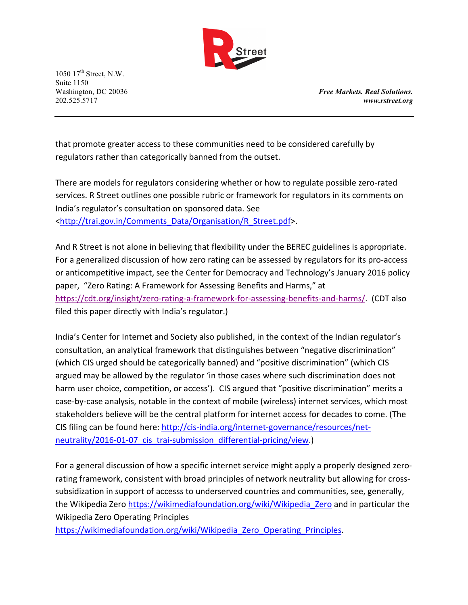

Washington, DC 20036 *Free Markets. Real Solutions.* 202.525.5717 *www.rstreet.org*

that promote greater access to these communities need to be considered carefully by regulators rather than categorically banned from the outset.

There are models for regulators considering whether or how to regulate possible zero-rated services. R Street outlines one possible rubric or framework for regulators in its comments on India's regulator's consultation on sponsored data. See <http://trai.gov.in/Comments\_Data/Organisation/R\_Street.pdf>. 

And R Street is not alone in believing that flexibility under the BEREC guidelines is appropriate. For a generalized discussion of how zero rating can be assessed by regulators for its pro-access or anticompetitive impact, see the Center for Democracy and Technology's January 2016 policy paper, "Zero Rating: A Framework for Assessing Benefits and Harms," at https://cdt.org/insight/zero-rating-a-framework-for-assessing-benefits-and-harms/. (CDT also filed this paper directly with India's regulator.)

India's Center for Internet and Society also published, in the context of the Indian regulator's consultation, an analytical framework that distinguishes between "negative discrimination" (which CIS urged should be categorically banned) and "positive discrimination" (which CIS argued may be allowed by the regulator 'in those cases where such discrimination does not harm user choice, competition, or access'). CIS argued that "positive discrimination" merits a case-by-case analysis, notable in the context of mobile (wireless) internet services, which most stakeholders believe will be the central platform for internet access for decades to come. (The CIS filing can be found here: http://cis-india.org/internet-governance/resources/netneutrality/2016-01-07\_cis\_trai-submission\_differential-pricing/view.)

For a general discussion of how a specific internet service might apply a properly designed zerorating framework, consistent with broad principles of network neutrality but allowing for crosssubsidization in support of accesss to underserved countries and communities, see, generally, the Wikipedia Zero https://wikimediafoundation.org/wiki/Wikipedia Zero and in particular the Wikipedia Zero Operating Principles

https://wikimediafoundation.org/wiki/Wikipedia\_Zero\_Operating\_Principles.